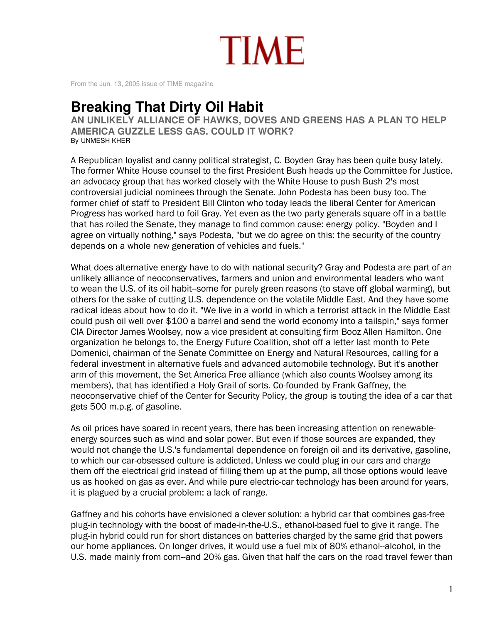

From the Jun. 13, 2005 issue of TIME magazine

## **Breaking That Dirty Oil Habit**

AN UNLIKELY ALLIANCE OF HAWKS, DOVES AND GREENS HAS A PLAN TO HELP **AMERICA GUZZLE LESS GAS. COULD IT WORK?** By UNMESH KHER

A Republican loyalist and canny political strategist, C. Boyden Gray has been quite busy lately. The former White House counsel to the first President Bush heads up the Committee for Justice, an advocacy group that has worked closely with the White House to push Bush 2's most controversial judicial nominees through the Senate. John Podesta has been busy too. The former chief of staff to President Bill Clinton who today leads the liberal Center for American Progress has worked hard to foil Gray. Yet even as the two party generals square off in a battle that has roiled the Senate, they manage to find common cause: energy policy. "Boyden and I agree on virtually nothing," says Podesta, "but we do agree on this: the security of the country depends on a whole new generation of vehicles and fuels."

What does alternative energy have to do with national security? Gray and Podesta are part of an unlikely alliance of neoconservatives, farmers and union and environmental leaders who want to wean the U.S. of its oil habit--some for purely green reasons (to stave off global warming), but others for the sake of cutting U.S. dependence on the volatile Middle East. And they have some radical ideas about how to do it. "We live in a world in which a terrorist attack in the Middle East could push oil well over \$100 a barrel and send the world economy into a tailspin," says former CIA Director James Woolsey, now a vice president at consulting firm Booz Allen Hamilton. One organization he belongs to, the Energy Future Coalition, shot off a letter last month to Pete Domenici, chairman of the Senate Committee on Energy and Natural Resources, calling for a federal investment in alternative fuels and advanced automobile technology. But it's another arm of this movement, the Set America Free alliance (which also counts Woolsey among its members), that has identified a Holy Grail of sorts. Co-founded by Frank Gaffney, the neoconservative chief of the Center for Security Policy, the group is touting the idea of a car that gets 500 m.p.g. of gasoline.

As oil prices have soared in recent years, there has been increasing attention on renewableenergy sources such as wind and solar power. But even if those sources are expanded, they would not change the U.S.'s fundamental dependence on foreign oil and its derivative, gasoline, to which our car-obsessed culture is addicted. Unless we could plug in our cars and charge them off the electrical grid instead of filling them up at the pump, all those options would leave us as hooked on gas as ever. And while pure electric-car technology has been around for years, it is plagued by a crucial problem: a lack of range.

Gaffney and his cohorts have envisioned a clever solution: a hybrid car that combines gas-free plug-in technology with the boost of made-in-the-U.S., ethanol-based fuel to give it range. The plug-in hybrid could run for short distances on batteries charged by the same grid that powers our home appliances. On longer drives, it would use a fuel mix of 80% ethanol-alcohol, in the U.S. made mainly from corn-and 20% gas. Given that half the cars on the road travel fewer than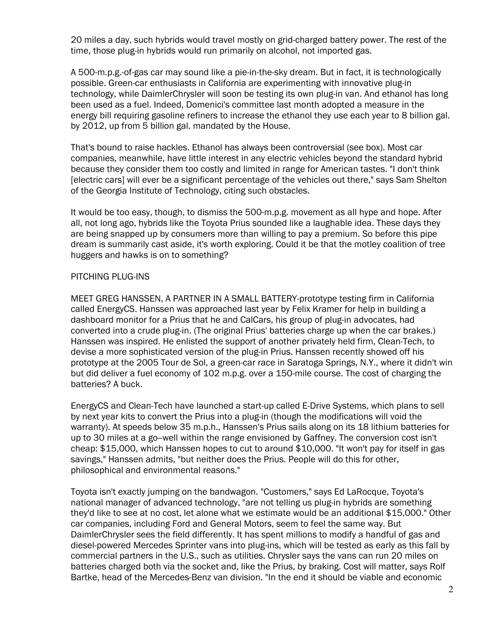20 miles a day, such hybrids would travel mostly on grid-charged battery power. The rest of the time, those plug-in hybrids would run primarily on alcohol, not imported gas.

A 500-m.p.g.-of-gas car may sound like a pie-in-the-sky dream. But in fact, it is technologically possible. Green-car enthusiasts in California are experimenting with innovative plug-in technology, while DaimlerChrysler will soon be testing its own plug-in van. And ethanol has long been used as a fuel. Indeed, Domenici's committee last month adopted a measure in the energy bill requiring gasoline refiners to increase the ethanol they use each year to 8 billion gal. by 2012, up from 5 billion gal. mandated by the House.

That's bound to raise hackles. Ethanol has always been controversial (see box). Most car companies, meanwhile, have little interest in any electric vehicles beyond the standard hybrid because they consider them too costly and limited in range for American tastes. "I don't think [electric cars] will ever be a significant percentage of the vehicles out there," says Sam Shelton of the Georgia Institute of Technology, citing such obstacles.

It would be too easy, though, to dismiss the 500-m.p.g. movement as all hype and hope. After all, not long ago, hybrids like the Toyota Prius sounded like a laughable idea. These days they are being snapped up by consumers more than willing to pay a premium. So before this pipe dream is summarily cast aside, it's worth exploring. Could it be that the motley coalition of tree huggers and hawks is on to something?

## PITCHING PLUG-INS

MEET GREG HANSSEN, A PARTNER IN A SMALL BATTERY-prototype testing firm in California called EnergyCS. Hanssen was approached last year by Felix Kramer for help in building a dashboard monitor for a Prius that he and CalCars, his group of plug-in advocates, had converted into a crude plug-in. (The original Prius' batteries charge up when the car brakes.) Hanssen was inspired. He enlisted the support of another privately held firm, Clean-Tech, to devise a more sophisticated version of the plug-in Prius. Hanssen recently showed off his prototype at the 2005 Tour de Sol, a green-car race in Saratoga Springs, N.Y., where it didn't win but did deliver a fuel economy of 102 m.p.g. over a 150-mile course. The cost of charging the batteries? A buck.

EnergyCS and Clean-Tech have launched a start-up called E-Drive Systems, which plans to sell by next year kits to convert the Prius into a plug-in (though the modifications will void the warranty). At speeds below 35 m.p.h., Hanssen's Prius sails along on its 18 lithium batteries for up to 30 miles at a go-well within the range envisioned by Gaffney. The conversion cost isn't cheap: \$15,000, which Hanssen hopes to cut to around \$10,000. "It won't pay for itself in gas savings," Hanssen admits, "but neither does the Prius. People will do this for other, philosophical and environmental reasons."

Toyota isn't exactly jumping on the bandwagon. "Customers," says Ed LaRocque, Toyota's national manager of advanced technology, "are not telling us plug-in hybrids are something they'd like to see at no cost, let alone what we estimate would be an additional \$15,000." Other car companies, including Ford and General Motors, seem to feel the same way. But DaimlerChrysler sees the field differently. It has spent millions to modify a handful of gas and diesel-powered Mercedes Sprinter vans into plug-ins, which will be tested as early as this fall by commercial partners in the U.S., such as utilities. Chrysler says the vans can run 20 miles on batteries charged both via the socket and, like the Prius, by braking. Cost will matter, says Rolf Bartke. head of the Mercedes-Benz van division. "In the end it should be viable and economic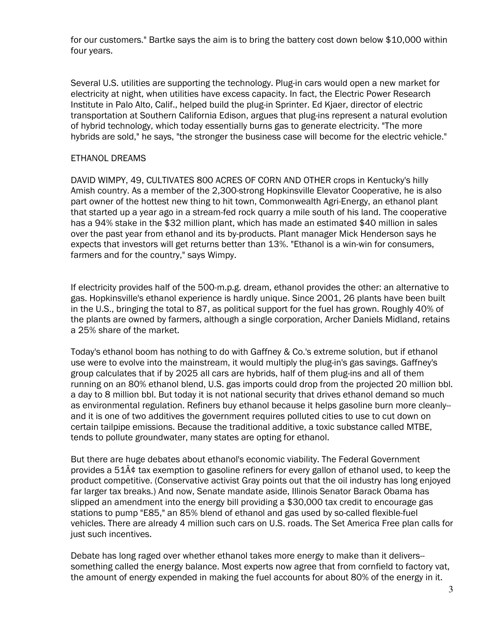for our customers." Bartke says the aim is to bring the battery cost down below \$10,000 within four years.

Several U.S. utilities are supporting the technology. Plug-in cars would open a new market for electricity at night, when utilities have excess capacity. In fact, the Electric Power Research Institute in Palo Alto, Calif., helped build the plug-in Sprinter. Ed Kjaer, director of electric transportation at Southern California Edison, argues that plug-ins represent a natural evolution of hybrid technology, which today essentially burns gas to generate electricity. "The more hybrids are sold," he says, "the stronger the business case will become for the electric vehicle."

## **ETHANOL DREAMS**

DAVID WIMPY, 49, CULTIVATES 800 ACRES OF CORN AND OTHER crops in Kentucky's hilly Amish country. As a member of the 2,300-strong Hopkinsville Elevator Cooperative, he is also part owner of the hottest new thing to hit town, Commonwealth Agri-Energy, an ethanol plant that started up a year ago in a stream-fed rock quarry a mile south of his land. The cooperative has a 94% stake in the \$32 million plant, which has made an estimated \$40 million in sales over the past year from ethanol and its by-products. Plant manager Mick Henderson says he expects that investors will get returns better than 13%. "Ethanol is a win-win for consumers, farmers and for the country," says Wimpy.

If electricity provides half of the 500-m.p.g. dream, ethanol provides the other: an alternative to gas. Hopkinsville's ethanol experience is hardly unique. Since 2001, 26 plants have been built in the U.S., bringing the total to 87, as political support for the fuel has grown. Roughly 40% of the plants are owned by farmers, although a single corporation, Archer Daniels Midland, retains a 25% share of the market.

Today's ethanol boom has nothing to do with Gaffney & Co.'s extreme solution, but if ethanol use were to evolve into the mainstream, it would multiply the plug-in's gas savings. Gaffney's group calculates that if by 2025 all cars are hybrids, half of them plug-ins and all of them running on an 80% ethanol blend, U.S. gas imports could drop from the projected 20 million bbl. a day to 8 million bbl. But today it is not national security that drives ethanol demand so much as environmental regulation. Refiners buy ethanol because it helps gasoline burn more cleanlyand it is one of two additives the government requires polluted cities to use to cut down on certain tailpipe emissions. Because the traditional additive, a toxic substance called MTBE, tends to pollute groundwater, many states are opting for ethanol.

But there are huge debates about ethanol's economic viability. The Federal Government provides a  $51\hat{A}\hat{v}$  tax exemption to gasoline refiners for every gallon of ethanol used, to keep the product competitive. (Conservative activist Gray points out that the oil industry has long enjoyed far larger tax breaks.) And now, Senate mandate aside, Illinois Senator Barack Obama has slipped an amendment into the energy bill providing a \$30,000 tax credit to encourage gas stations to pump "E85," an 85% blend of ethanol and gas used by so-called flexible-fuel vehicles. There are already 4 million such cars on U.S. roads. The Set America Free plan calls for just such incentives.

Debate has long raged over whether ethanol takes more energy to make than it delivers-something called the energy balance. Most experts now agree that from cornfield to factory vat, the amount of energy expended in making the fuel accounts for about 80% of the energy in it.